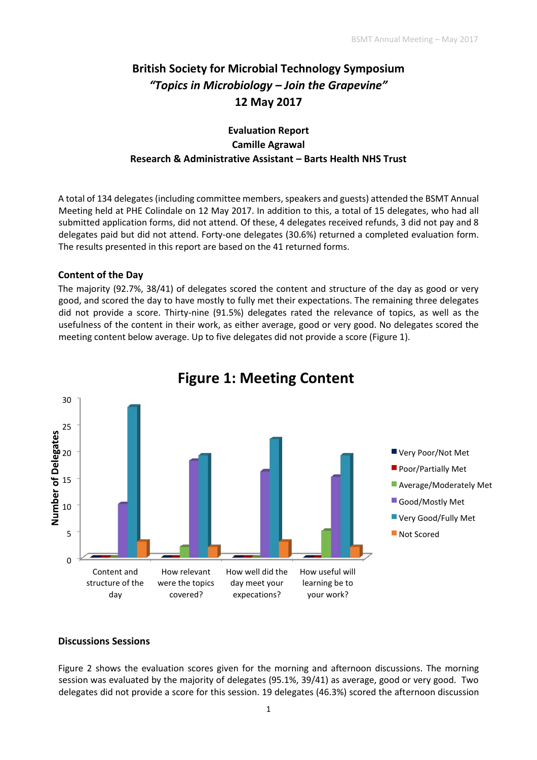# **British Society for Microbial Technology Symposium**  *"Topics in Microbiology – Join the Grapevine"*  **12 May 2017**

# **Evaluation Report Camille Agrawal Research & Administrative Assistant – Barts Health NHS Trust**

A total of 134 delegates (including committee members, speakers and guests) attended the BSMT Annual Meeting held at PHE Colindale on 12 May 2017. In addition to this, a total of 15 delegates, who had all submitted application forms, did not attend. Of these, 4 delegates received refunds, 3 did not pay and 8 delegates paid but did not attend. Forty-one delegates (30.6%) returned a completed evaluation form. The results presented in this report are based on the 41 returned forms.

## **Content of the Day**

The majority (92.7%, 38/41) of delegates scored the content and structure of the day as good or very good, and scored the day to have mostly to fully met their expectations. The remaining three delegates did not provide a score. Thirty-nine (91.5%) delegates rated the relevance of topics, as well as the usefulness of the content in their work, as either average, good or very good. No delegates scored the meeting content below average. Up to five delegates did not provide a score (Figure 1).



# **Figure 1: Meeting Content**

#### **Discussions Sessions**

Figure 2 shows the evaluation scores given for the morning and afternoon discussions. The morning session was evaluated by the majority of delegates (95.1%, 39/41) as average, good or very good. Two delegates did not provide a score for this session. 19 delegates (46.3%) scored the afternoon discussion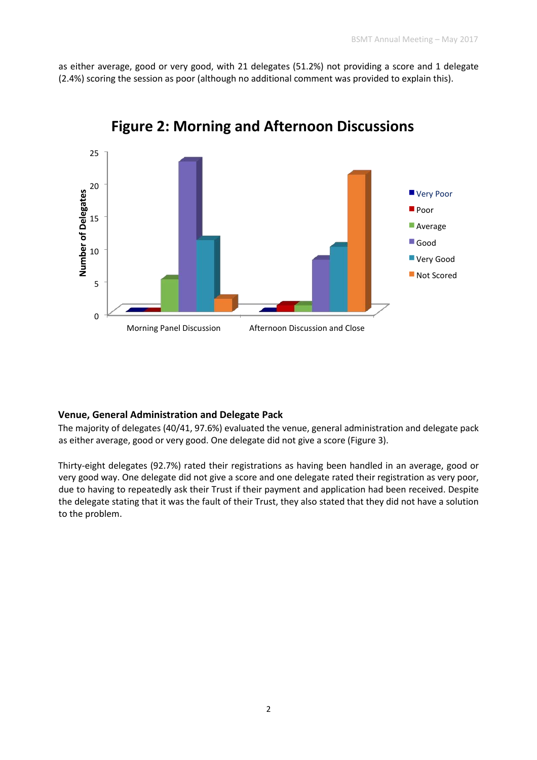as either average, good or very good, with 21 delegates (51.2%) not providing a score and 1 delegate (2.4%) scoring the session as poor (although no additional comment was provided to explain this).



**Figure 2: Morning and Afternoon Discussions** 

#### **Venue, General Administration and Delegate Pack**

The majority of delegates (40/41, 97.6%) evaluated the venue, general administration and delegate pack as either average, good or very good. One delegate did not give a score (Figure 3).

Thirty-eight delegates (92.7%) rated their registrations as having been handled in an average, good or very good way. One delegate did not give a score and one delegate rated their registration as very poor, due to having to repeatedly ask their Trust if their payment and application had been received. Despite the delegate stating that it was the fault of their Trust, they also stated that they did not have a solution to the problem.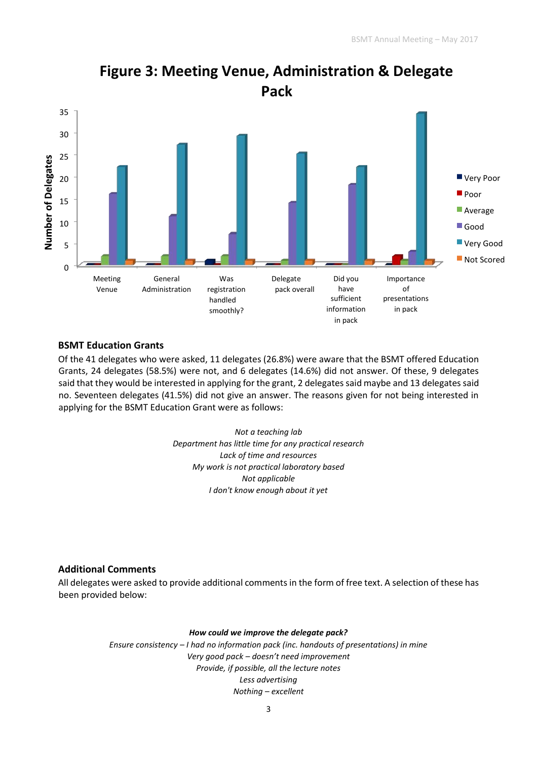

# **Figure 3: Meeting Venue, Administration & Delegate Pack**

### **BSMT Education Grants**

Of the 41 delegates who were asked, 11 delegates (26.8%) were aware that the BSMT offered Education Grants, 24 delegates (58.5%) were not, and 6 delegates (14.6%) did not answer. Of these, 9 delegates said that they would be interested in applying for the grant, 2 delegates said maybe and 13 delegates said no. Seventeen delegates (41.5%) did not give an answer. The reasons given for not being interested in applying for the BSMT Education Grant were as follows:

> *Not a teaching lab Department has little time for any practical research Lack of time and resources My work is not practical laboratory based Not applicable I don't know enough about it yet*

## **Additional Comments**

All delegates were asked to provide additional comments in the form of free text. A selection of these has been provided below:

#### *How could we improve the delegate pack?*

*Ensure consistency – I had no information pack (inc. handouts of presentations) in mine Very good pack – doesn't need improvement Provide, if possible, all the lecture notes Less advertising Nothing – excellent*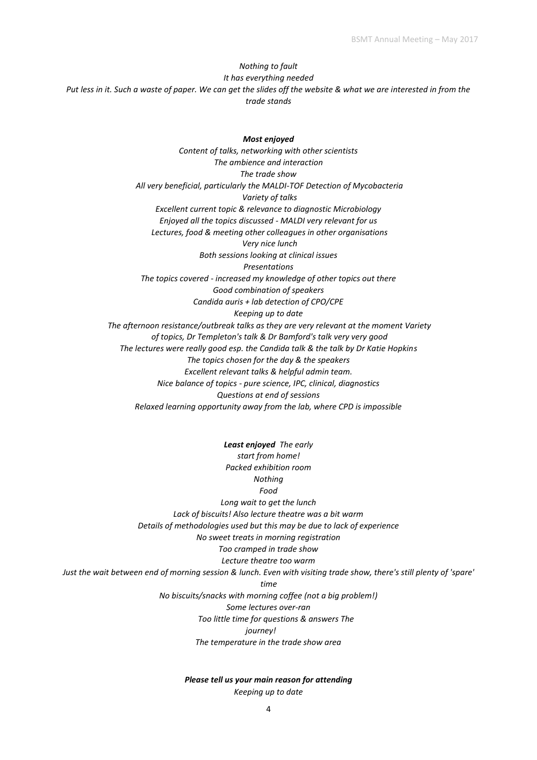## *Nothing to fault It has everything needed Put less in it. Such a waste of paper. We can get the slides off the website & what we are interested in from the trade stands*

*Most enjoyed Content of talks, networking with other scientists The ambience and interaction The trade show All very beneficial, particularly the MALDI-TOF Detection of Mycobacteria Variety of talks Excellent current topic & relevance to diagnostic Microbiology Enjoyed all the topics discussed - MALDI very relevant for us Lectures, food & meeting other colleagues in other organisations Very nice lunch Both sessions looking at clinical issues Presentations The topics covered - increased my knowledge of other topics out there Good combination of speakers Candida auris + lab detection of CPO/CPE Keeping up to date The afternoon resistance/outbreak talks as they are very relevant at the moment Variety of topics, Dr Templeton's talk & Dr Bamford's talk very very good The lectures were really good esp. the Candida talk & the talk by Dr Katie Hopkins The topics chosen for the day & the speakers Excellent relevant talks & helpful admin team. Nice balance of topics - pure science, IPC, clinical, diagnostics Questions at end of sessions Relaxed learning opportunity away from the lab, where CPD is impossible* 

*Least enjoyed The early start from home! Packed exhibition room Nothing Food Long wait to get the lunch Lack of biscuits! Also lecture theatre was a bit warm Details of methodologies used but this may be due to lack of experience No sweet treats in morning registration Too cramped in trade show Lecture theatre too warm Just the wait between end of morning session & lunch. Even with visiting trade show, there's still plenty of 'spare' time No biscuits/snacks with morning coffee (not a big problem!) Some lectures over-ran Too little time for questions & answers The journey! The temperature in the trade show area* 

#### *Please tell us your main reason for attending*

*Keeping up to date*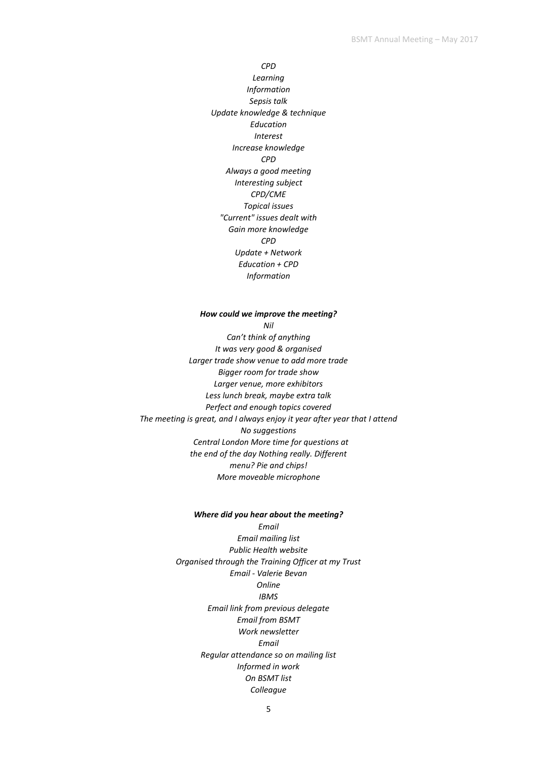*CPD Learning Information Sepsis talk Update knowledge & technique Education Interest Increase knowledge CPD Always a good meeting Interesting subject CPD/CME Topical issues "Current" issues dealt with Gain more knowledge CPD Update + Network Education + CPD Information* 

#### *How could we improve the meeting?*

*Nil* 

*Can't think of anything It was very good & organised Larger trade show venue to add more trade Bigger room for trade show Larger venue, more exhibitors Less lunch break, maybe extra talk Perfect and enough topics covered The meeting is great, and I always enjoy it year after year that I attend No suggestions Central London More time for questions at the end of the day Nothing really. Different menu? Pie and chips! More moveable microphone* 

#### *Where did you hear about the meeting? Email*

*Email mailing list Public Health website Organised through the Training Officer at my Trust Email - Valerie Bevan Online IBMS Email link from previous delegate Email from BSMT Work newsletter Email Regular attendance so on mailing list Informed in work On BSMT list Colleague*